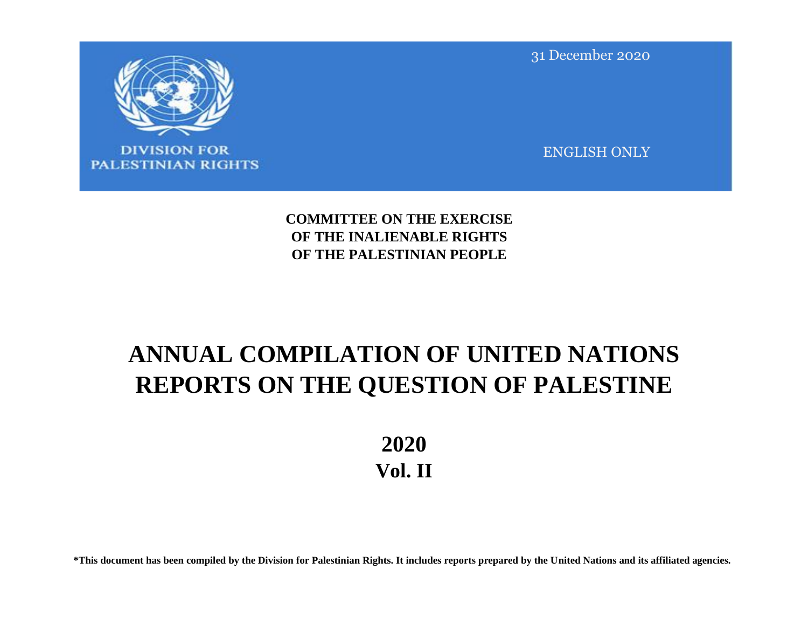

**DIVISION FOR PALESTINIAN RIGHTS**  31 December 2020

ENGLISH ONLY

**COMMITTEE ON THE EXERCISE OF THE INALIENABLE RIGHTS OF THE PALESTINIAN PEOPLE**

# **ANNUAL COMPILATION OF UNITED NATIONS REPORTS ON THE QUESTION OF PALESTINE**

**2020 Vol. II**

**\*This document has been compiled by the Division for Palestinian Rights. It includes reports prepared by the United Nations and its affiliated agencies.**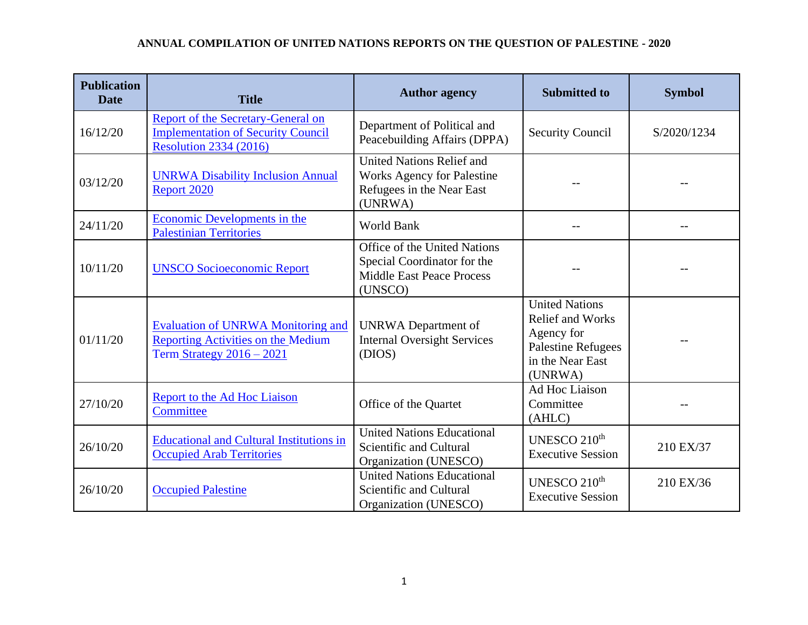| <b>Publication</b><br><b>Date</b> | <b>Title</b>                                                                                                            | <b>Author agency</b>                                                                                          | <b>Submitted to</b>                                                                                                        | <b>Symbol</b> |
|-----------------------------------|-------------------------------------------------------------------------------------------------------------------------|---------------------------------------------------------------------------------------------------------------|----------------------------------------------------------------------------------------------------------------------------|---------------|
| 16/12/20                          | <b>Report of the Secretary-General on</b><br><b>Implementation of Security Council</b><br><b>Resolution 2334 (2016)</b> | Department of Political and<br>Peacebuilding Affairs (DPPA)                                                   | <b>Security Council</b>                                                                                                    | S/2020/1234   |
| 03/12/20                          | <b>UNRWA Disability Inclusion Annual</b><br>Report 2020                                                                 | <b>United Nations Relief and</b><br><b>Works Agency for Palestine</b><br>Refugees in the Near East<br>(UNRWA) |                                                                                                                            |               |
| 24/11/20                          | Economic Developments in the<br><b>Palestinian Territories</b>                                                          | World Bank                                                                                                    |                                                                                                                            |               |
| 10/11/20                          | <b>UNSCO Socioeconomic Report</b>                                                                                       | Office of the United Nations<br>Special Coordinator for the<br><b>Middle East Peace Process</b><br>(UNSCO)    |                                                                                                                            |               |
| 01/11/20                          | <b>Evaluation of UNRWA Monitoring and</b><br><b>Reporting Activities on the Medium</b><br>Term Strategy 2016 - 2021     | <b>UNRWA</b> Department of<br><b>Internal Oversight Services</b><br>(DIOS)                                    | <b>United Nations</b><br><b>Relief and Works</b><br>Agency for<br><b>Palestine Refugees</b><br>in the Near East<br>(UNRWA) |               |
| 27/10/20                          | Report to the Ad Hoc Liaison<br>Committee                                                                               | Office of the Quartet                                                                                         | Ad Hoc Liaison<br>Committee<br>(AHLC)                                                                                      |               |
| 26/10/20                          | <b>Educational and Cultural Institutions in</b><br><b>Occupied Arab Territories</b>                                     | <b>United Nations Educational</b><br>Scientific and Cultural<br>Organization (UNESCO)                         | UNESCO 210 <sup>th</sup><br><b>Executive Session</b>                                                                       | 210 EX/37     |
| 26/10/20                          | <b>Occupied Palestine</b>                                                                                               | <b>United Nations Educational</b><br>Scientific and Cultural<br>Organization (UNESCO)                         | UNESCO 210 <sup>th</sup><br><b>Executive Session</b>                                                                       | 210 EX/36     |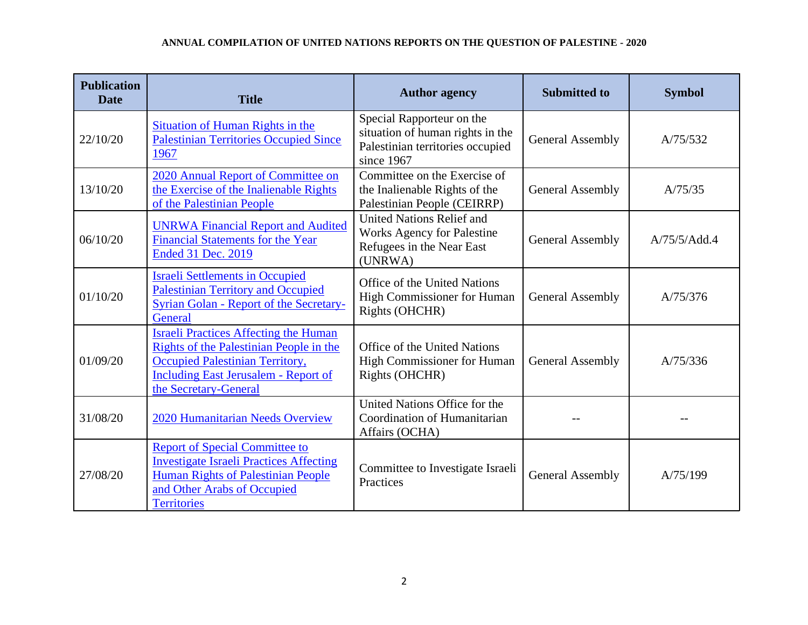| <b>Publication</b><br><b>Date</b> | <b>Title</b>                                                                                                                                                                                       | <b>Author agency</b>                                                                                            | <b>Submitted to</b>     | <b>Symbol</b> |
|-----------------------------------|----------------------------------------------------------------------------------------------------------------------------------------------------------------------------------------------------|-----------------------------------------------------------------------------------------------------------------|-------------------------|---------------|
| 22/10/20                          | Situation of Human Rights in the<br><b>Palestinian Territories Occupied Since</b><br>1967                                                                                                          | Special Rapporteur on the<br>situation of human rights in the<br>Palestinian territories occupied<br>since 1967 | <b>General Assembly</b> | A/75/532      |
| 13/10/20                          | 2020 Annual Report of Committee on<br>the Exercise of the Inalienable Rights<br>of the Palestinian People                                                                                          | Committee on the Exercise of<br>the Inalienable Rights of the<br>Palestinian People (CEIRRP)                    | <b>General Assembly</b> | A/75/35       |
| 06/10/20                          | <b>UNRWA Financial Report and Audited</b><br>Financial Statements for the Year<br>Ended 31 Dec. 2019                                                                                               | <b>United Nations Relief and</b><br><b>Works Agency for Palestine</b><br>Refugees in the Near East<br>(UNRWA)   | <b>General Assembly</b> | A/75/5/Add.4  |
| 01/10/20                          | <b>Israeli Settlements in Occupied</b><br><b>Palestinian Territory and Occupied</b><br><b>Syrian Golan - Report of the Secretary-</b><br>General                                                   | Office of the United Nations<br>High Commissioner for Human<br>Rights (OHCHR)                                   | General Assembly        | A/75/376      |
| 01/09/20                          | <b>Israeli Practices Affecting the Human</b><br>Rights of the Palestinian People in the<br>Occupied Palestinian Territory,<br><b>Including East Jerusalem - Report of</b><br>the Secretary-General | Office of the United Nations<br><b>High Commissioner for Human</b><br>Rights (OHCHR)                            | General Assembly        | A/75/336      |
| 31/08/20                          | 2020 Humanitarian Needs Overview                                                                                                                                                                   | United Nations Office for the<br>Coordination of Humanitarian<br>Affairs (OCHA)                                 |                         |               |
| 27/08/20                          | <b>Report of Special Committee to</b><br><b>Investigate Israeli Practices Affecting</b><br><b>Human Rights of Palestinian People</b><br>and Other Arabs of Occupied<br><b>Territories</b>          | Committee to Investigate Israeli<br>Practices                                                                   | General Assembly        | A/75/199      |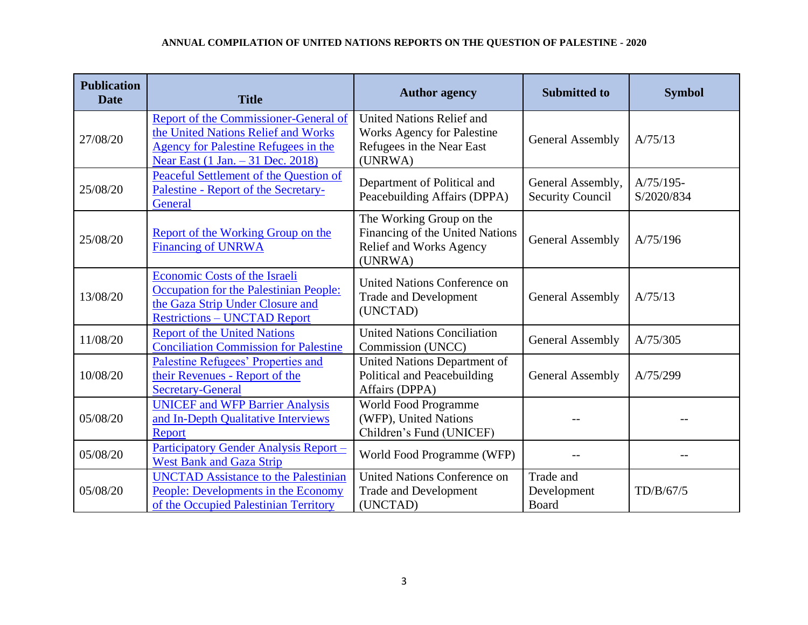| <b>Publication</b><br><b>Date</b> | <b>Title</b>                                                                                                                                                            | <b>Author agency</b>                                                                                          | <b>Submitted to</b>                          | <b>Symbol</b>             |
|-----------------------------------|-------------------------------------------------------------------------------------------------------------------------------------------------------------------------|---------------------------------------------------------------------------------------------------------------|----------------------------------------------|---------------------------|
| 27/08/20                          | <b>Report of the Commissioner-General of</b><br>the United Nations Relief and Works<br><b>Agency for Palestine Refugees in the</b><br>Near East (1 Jan. - 31 Dec. 2018) | <b>United Nations Relief and</b><br><b>Works Agency for Palestine</b><br>Refugees in the Near East<br>(UNRWA) | <b>General Assembly</b>                      | A/75/13                   |
| 25/08/20                          | <b>Peaceful Settlement of the Question of</b><br>Palestine - Report of the Secretary-<br>General                                                                        | Department of Political and<br>Peacebuilding Affairs (DPPA)                                                   | General Assembly,<br><b>Security Council</b> | $A/75/195-$<br>S/2020/834 |
| 25/08/20                          | Report of the Working Group on the<br><b>Financing of UNRWA</b>                                                                                                         | The Working Group on the<br>Financing of the United Nations<br>Relief and Works Agency<br>(UNRWA)             | <b>General Assembly</b>                      | A/75/196                  |
| 13/08/20                          | Economic Costs of the Israeli<br>Occupation for the Palestinian People:<br>the Gaza Strip Under Closure and<br><b>Restrictions - UNCTAD Report</b>                      | United Nations Conference on<br><b>Trade and Development</b><br>(UNCTAD)                                      | <b>General Assembly</b>                      | A/75/13                   |
| 11/08/20                          | <b>Report of the United Nations</b><br><b>Conciliation Commission for Palestine</b>                                                                                     | <b>United Nations Conciliation</b><br>Commission (UNCC)                                                       | <b>General Assembly</b>                      | A/75/305                  |
| 10/08/20                          | Palestine Refugees' Properties and<br>their Revenues - Report of the<br><b>Secretary-General</b>                                                                        | United Nations Department of<br>Political and Peacebuilding<br>Affairs (DPPA)                                 | <b>General Assembly</b>                      | A/75/299                  |
| 05/08/20                          | <b>UNICEF</b> and WFP Barrier Analysis<br>and In-Depth Qualitative Interviews<br>Report                                                                                 | World Food Programme<br>(WFP), United Nations<br>Children's Fund (UNICEF)                                     |                                              |                           |
| 05/08/20                          | Participatory Gender Analysis Report -<br><b>West Bank and Gaza Strip</b>                                                                                               | World Food Programme (WFP)                                                                                    |                                              |                           |
| 05/08/20                          | <b>UNCTAD Assistance to the Palestinian</b><br>People: Developments in the Economy<br>of the Occupied Palestinian Territory                                             | <b>United Nations Conference on</b><br><b>Trade and Development</b><br>(UNCTAD)                               | Trade and<br>Development<br>Board            | TD/B/67/5                 |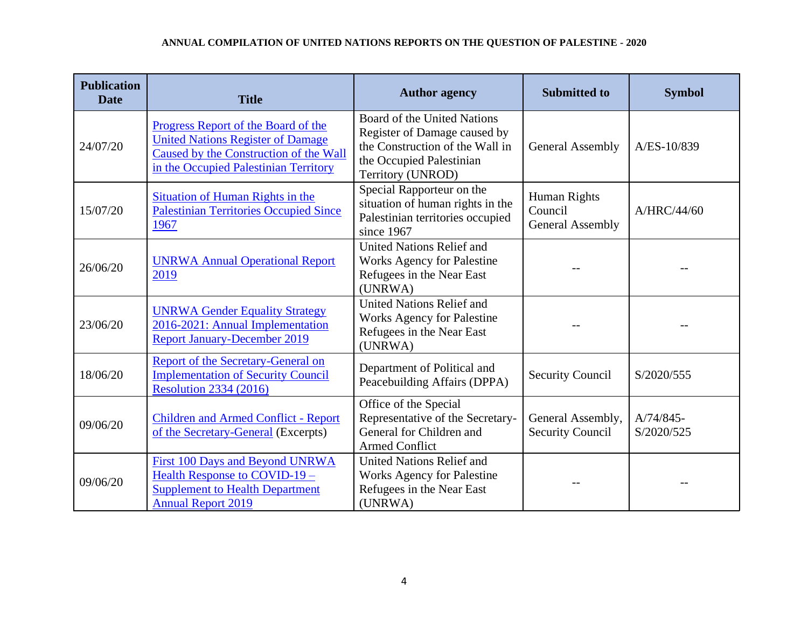| <b>Publication</b><br><b>Date</b> | <b>Title</b>                                                                                                                                                       | <b>Author agency</b>                                                                                                                            | <b>Submitted to</b>                                | <b>Symbol</b>           |
|-----------------------------------|--------------------------------------------------------------------------------------------------------------------------------------------------------------------|-------------------------------------------------------------------------------------------------------------------------------------------------|----------------------------------------------------|-------------------------|
| 24/07/20                          | Progress Report of the Board of the<br><b>United Nations Register of Damage</b><br>Caused by the Construction of the Wall<br>in the Occupied Palestinian Territory | Board of the United Nations<br>Register of Damage caused by<br>the Construction of the Wall in<br>the Occupied Palestinian<br>Territory (UNROD) | <b>General Assembly</b>                            | A/ES-10/839             |
| 15/07/20                          | Situation of Human Rights in the<br><b>Palestinian Territories Occupied Since</b><br>1967                                                                          | Special Rapporteur on the<br>situation of human rights in the<br>Palestinian territories occupied<br>since 1967                                 | Human Rights<br>Council<br><b>General Assembly</b> | A/HRC/44/60             |
| 26/06/20                          | <b>UNRWA Annual Operational Report</b><br>2019                                                                                                                     | <b>United Nations Relief and</b><br>Works Agency for Palestine<br>Refugees in the Near East<br>(UNRWA)                                          |                                                    |                         |
| 23/06/20                          | <b>UNRWA Gender Equality Strategy</b><br>2016-2021: Annual Implementation<br><b>Report January-December 2019</b>                                                   | <b>United Nations Relief and</b><br><b>Works Agency for Palestine</b><br>Refugees in the Near East<br>(UNRWA)                                   |                                                    |                         |
| 18/06/20                          | Report of the Secretary-General on<br><b>Implementation of Security Council</b><br><b>Resolution 2334 (2016)</b>                                                   | Department of Political and<br>Peacebuilding Affairs (DPPA)                                                                                     | <b>Security Council</b>                            | S/2020/555              |
| 09/06/20                          | <b>Children and Armed Conflict - Report</b><br>of the Secretary-General (Excerpts)                                                                                 | Office of the Special<br>Representative of the Secretary-<br>General for Children and<br><b>Armed Conflict</b>                                  | General Assembly,<br><b>Security Council</b>       | A/74/845-<br>S/2020/525 |
| 09/06/20                          | First 100 Days and Beyond UNRWA<br>Health Response to COVID-19-<br><b>Supplement to Health Department</b><br><b>Annual Report 2019</b>                             | United Nations Relief and<br><b>Works Agency for Palestine</b><br>Refugees in the Near East<br>(UNRWA)                                          |                                                    |                         |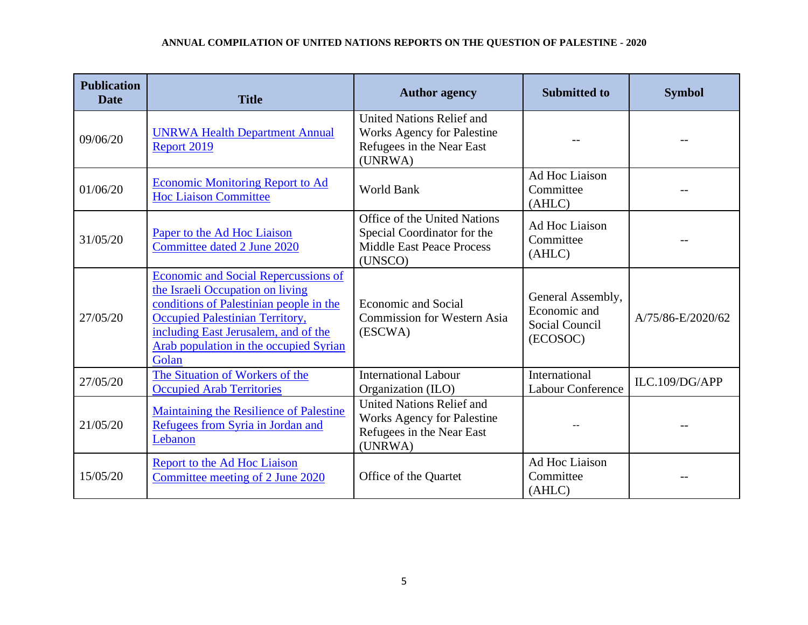| <b>Publication</b><br><b>Date</b> | <b>Title</b>                                                                                                                                                                                                                                             | <b>Author agency</b>                                                                                          | <b>Submitted to</b>                                             | <b>Symbol</b>     |
|-----------------------------------|----------------------------------------------------------------------------------------------------------------------------------------------------------------------------------------------------------------------------------------------------------|---------------------------------------------------------------------------------------------------------------|-----------------------------------------------------------------|-------------------|
| 09/06/20                          | <b>UNRWA Health Department Annual</b><br>Report 2019                                                                                                                                                                                                     | <b>United Nations Relief and</b><br><b>Works Agency for Palestine</b><br>Refugees in the Near East<br>(UNRWA) |                                                                 |                   |
| 01/06/20                          | <b>Economic Monitoring Report to Ad</b><br><b>Hoc Liaison Committee</b>                                                                                                                                                                                  | <b>World Bank</b>                                                                                             | Ad Hoc Liaison<br>Committee<br>(AHLC)                           |                   |
| 31/05/20                          | Paper to the Ad Hoc Liaison<br>Committee dated 2 June 2020                                                                                                                                                                                               | Office of the United Nations<br>Special Coordinator for the<br><b>Middle East Peace Process</b><br>(UNSCO)    | Ad Hoc Liaison<br>Committee<br>(AHLC)                           |                   |
| 27/05/20                          | <b>Economic and Social Repercussions of</b><br>the Israeli Occupation on living<br>conditions of Palestinian people in the<br>Occupied Palestinian Territory,<br>including East Jerusalem, and of the<br>Arab population in the occupied Syrian<br>Golan | <b>Economic and Social</b><br><b>Commission for Western Asia</b><br>(ESCWA)                                   | General Assembly,<br>Economic and<br>Social Council<br>(ECOSOC) | A/75/86-E/2020/62 |
| 27/05/20                          | The Situation of Workers of the<br><b>Occupied Arab Territories</b>                                                                                                                                                                                      | <b>International Labour</b><br>Organization (ILO)                                                             | International<br><b>Labour Conference</b>                       | ILC.109/DG/APP    |
| 21/05/20                          | Maintaining the Resilience of Palestine<br>Refugees from Syria in Jordan and<br>Lebanon                                                                                                                                                                  | United Nations Relief and<br><b>Works Agency for Palestine</b><br>Refugees in the Near East<br>(UNRWA)        |                                                                 |                   |
| 15/05/20                          | <b>Report to the Ad Hoc Liaison</b><br>Committee meeting of 2 June 2020                                                                                                                                                                                  | Office of the Quartet                                                                                         | Ad Hoc Liaison<br>Committee<br>(AHLC)                           |                   |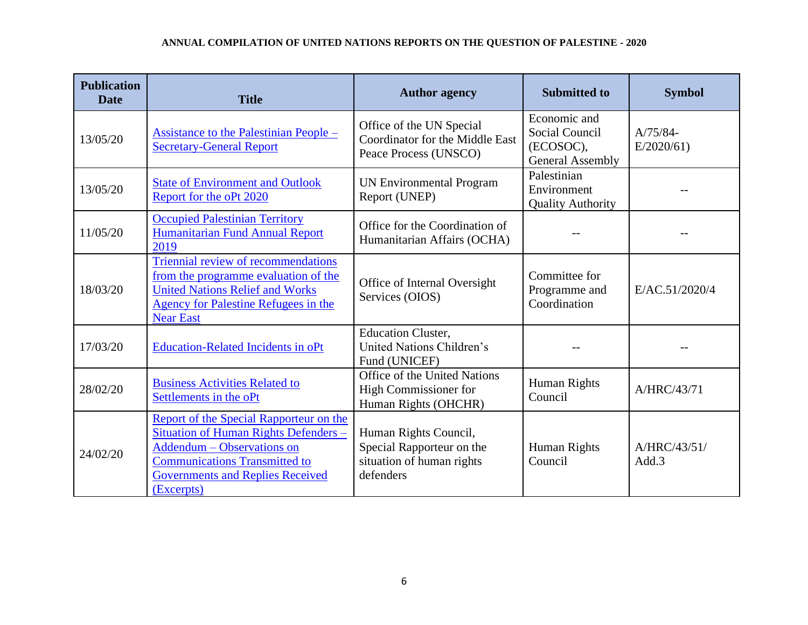| <b>Publication</b><br><b>Date</b> | <b>Title</b>                                                                                                                                                                                                    | <b>Author agency</b>                                                                         | <b>Submitted to</b>                                                    | <b>Symbol</b>           |
|-----------------------------------|-----------------------------------------------------------------------------------------------------------------------------------------------------------------------------------------------------------------|----------------------------------------------------------------------------------------------|------------------------------------------------------------------------|-------------------------|
| 13/05/20                          | <b>Assistance to the Palestinian People –</b><br><b>Secretary-General Report</b>                                                                                                                                | Office of the UN Special<br>Coordinator for the Middle East<br>Peace Process (UNSCO)         | Economic and<br>Social Council<br>(ECOSOC),<br><b>General Assembly</b> | $A/75/84-$<br>E/2020/61 |
| 13/05/20                          | <b>State of Environment and Outlook</b><br>Report for the oPt 2020                                                                                                                                              | <b>UN Environmental Program</b><br>Report (UNEP)                                             | Palestinian<br>Environment<br><b>Quality Authority</b>                 |                         |
| 11/05/20                          | <b>Occupied Palestinian Territory</b><br>Humanitarian Fund Annual Report<br>2019                                                                                                                                | Office for the Coordination of<br>Humanitarian Affairs (OCHA)                                |                                                                        |                         |
| 18/03/20                          | Triennial review of recommendations<br>from the programme evaluation of the<br><b>United Nations Relief and Works</b><br><b>Agency for Palestine Refugees in the</b><br><b>Near East</b>                        | Office of Internal Oversight<br>Services (OIOS)                                              | Committee for<br>Programme and<br>Coordination                         | E/AC.51/2020/4          |
| 17/03/20                          | <b>Education-Related Incidents in oPt</b>                                                                                                                                                                       | <b>Education Cluster,</b><br>United Nations Children's<br>Fund (UNICEF)                      |                                                                        |                         |
| 28/02/20                          | <b>Business Activities Related to</b><br>Settlements in the oPt                                                                                                                                                 | Office of the United Nations<br>High Commissioner for<br>Human Rights (OHCHR)                | Human Rights<br>Council                                                | A/HRC/43/71             |
| 24/02/20                          | Report of the Special Rapporteur on the<br>Situation of Human Rights Defenders -<br>Addendum - Observations on<br><b>Communications Transmitted to</b><br><b>Governments and Replies Received</b><br>(Excerpts) | Human Rights Council,<br>Special Rapporteur on the<br>situation of human rights<br>defenders | Human Rights<br>Council                                                | A/HRC/43/51/<br>Add.3   |